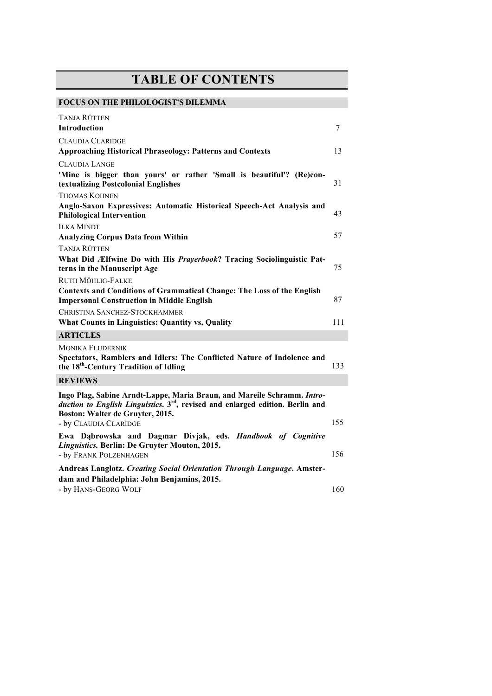## **TABLE OF CONTENTS**

| <b>FOCUS ON THE PHILOLOGIST'S DILEMMA</b>                                                                                                                                                                 |     |
|-----------------------------------------------------------------------------------------------------------------------------------------------------------------------------------------------------------|-----|
| Tanja Rütten                                                                                                                                                                                              |     |
| <b>Introduction</b>                                                                                                                                                                                       | 7   |
| <b>CLAUDIA CLARIDGE</b>                                                                                                                                                                                   |     |
| <b>Approaching Historical Phraseology: Patterns and Contexts</b>                                                                                                                                          | 13  |
| <b>CLAUDIA LANGE</b>                                                                                                                                                                                      |     |
| 'Mine is bigger than yours' or rather 'Small is beautiful'? (Re)con-<br>textualizing Postcolonial Englishes                                                                                               | 31  |
| <b>THOMAS KOHNEN</b>                                                                                                                                                                                      |     |
| Anglo-Saxon Expressives: Automatic Historical Speech-Act Analysis and<br><b>Philological Intervention</b>                                                                                                 | 43  |
| <b>ILKA MINDT</b>                                                                                                                                                                                         |     |
| <b>Analyzing Corpus Data from Within</b>                                                                                                                                                                  | 57  |
| <b>TANJA RÜTTEN</b>                                                                                                                                                                                       |     |
| What Did Ælfwine Do with His Prayerbook? Tracing Sociolinguistic Pat-<br>terns in the Manuscript Age                                                                                                      | 75  |
| <b>RUTH MÖHLIG-FALKE</b>                                                                                                                                                                                  |     |
| <b>Contexts and Conditions of Grammatical Change: The Loss of the English</b><br><b>Impersonal Construction in Middle English</b>                                                                         | 87  |
| CHRISTINA SANCHEZ-STOCKHAMMER                                                                                                                                                                             |     |
| <b>What Counts in Linguistics: Quantity vs. Quality</b>                                                                                                                                                   | 111 |
| <b>ARTICLES</b>                                                                                                                                                                                           |     |
| <b>MONIKA FLUDERNIK</b><br>Spectators, Ramblers and Idlers: The Conflicted Nature of Indolence and<br>the 18 <sup>th</sup> -Century Tradition of Idling                                                   | 133 |
| <b>REVIEWS</b>                                                                                                                                                                                            |     |
| Ingo Plag, Sabine Arndt-Lappe, Maria Braun, and Mareile Schramm. Intro-<br>duction to English Linguistics. 3 <sup>rd</sup> , revised and enlarged edition. Berlin and<br>Boston: Walter de Gruyter, 2015. |     |
| - by CLAUDIA CLARIDGE                                                                                                                                                                                     | 155 |
| Ewa Dąbrowska and Dagmar Divjak, eds. Handbook of Cognitive<br>Linguistics. Berlin: De Gruyter Mouton, 2015.<br>- by FRANK POLZENHAGEN                                                                    | 156 |
| Andreas Langlotz. Creating Social Orientation Through Language. Amster-                                                                                                                                   |     |
| dam and Philadelphia: John Benjamins, 2015.                                                                                                                                                               |     |
| - by HANS-GEORG WOLF                                                                                                                                                                                      | 160 |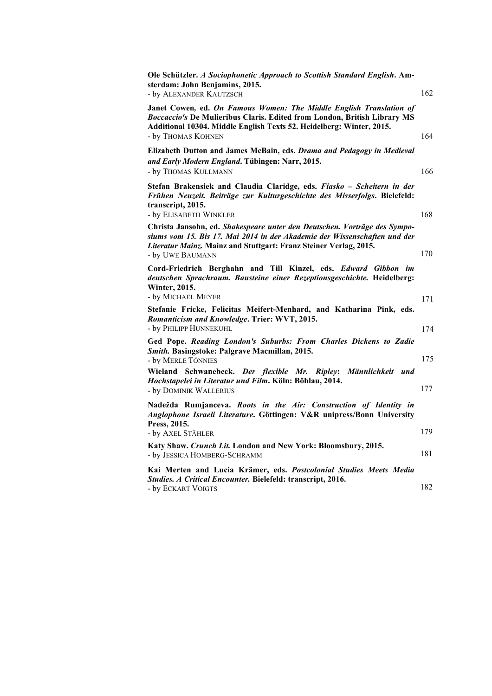| Ole Schützler. A Sociophonetic Approach to Scottish Standard English. Am-<br>sterdam: John Benjamins, 2015.<br>- by ALEXANDER KAUTZSCH                                                                                                               | 162 |
|------------------------------------------------------------------------------------------------------------------------------------------------------------------------------------------------------------------------------------------------------|-----|
| Janet Cowen, ed. On Famous Women: The Middle English Translation of<br><b>Boccaccio's De Mulieribus Claris. Edited from London, British Library MS</b><br>Additional 10304. Middle English Texts 52. Heidelberg: Winter, 2015.<br>- by THOMAS KOHNEN | 164 |
| Elizabeth Dutton and James McBain, eds. Drama and Pedagogy in Medieval<br>and Early Modern England. Tübingen: Narr, 2015.<br>- by THOMAS KULLMANN                                                                                                    | 166 |
| Stefan Brakensiek and Claudia Claridge, eds. Fiasko - Scheitern in der<br>Frühen Neuzeit. Beiträge zur Kulturgeschichte des Misserfolgs. Bielefeld:<br>transcript, 2015.<br>- by ELISABETH WINKLER                                                   | 168 |
| Christa Jansohn, ed. Shakespeare unter den Deutschen. Vorträge des Sympo-<br>siums vom 15. Bis 17. Mai 2014 in der Akademie der Wissenschaften und der<br>Literatur Mainz. Mainz and Stuttgart: Franz Steiner Verlag, 2015.<br>- by UWE BAUMANN      | 170 |
| Cord-Friedrich Berghahn and Till Kinzel, eds. Edward Gibbon im<br>deutschen Sprachraum. Bausteine einer Rezeptionsgeschichte. Heidelberg:<br>Winter, 2015.<br>- by MICHAEL MEYER                                                                     | 171 |
| Stefanie Fricke, Felicitas Meifert-Menhard, and Katharina Pink, eds.<br>Romanticism and Knowledge. Trier: WVT, 2015.<br>- by PHILIPP HUNNEKUHL                                                                                                       | 174 |
| Ged Pope. Reading London's Suburbs: From Charles Dickens to Zadie<br>Smith. Basingstoke: Palgrave Macmillan, 2015.<br>- by MERLE TÖNNIES                                                                                                             | 175 |
| Wieland Schwanebeck. Der flexible Mr. Ripley: Männlichkeit<br>und<br>Hochstapelei in Literatur und Film. Köln: Böhlau, 2014.<br>- by DOMINIK WALLERIUS                                                                                               | 177 |
| Nadežda Rumjanceva. Roots in the Air: Construction of Identity in<br>Anglophone Israeli Literature. Göttingen: V&R unipress/Bonn University<br>Press, 2015.                                                                                          |     |
| - by AXEL STÄHLER                                                                                                                                                                                                                                    | 179 |
| Katy Shaw. Crunch Lit. London and New York: Bloomsbury, 2015.<br>- by JESSICA HOMBERG-SCHRAMM                                                                                                                                                        | 181 |
| Kai Merten and Lucia Krämer, eds. Postcolonial Studies Meets Media<br>Studies. A Critical Encounter. Bielefeld: transcript, 2016.                                                                                                                    | 182 |
| - by ECKART VOIGTS                                                                                                                                                                                                                                   |     |